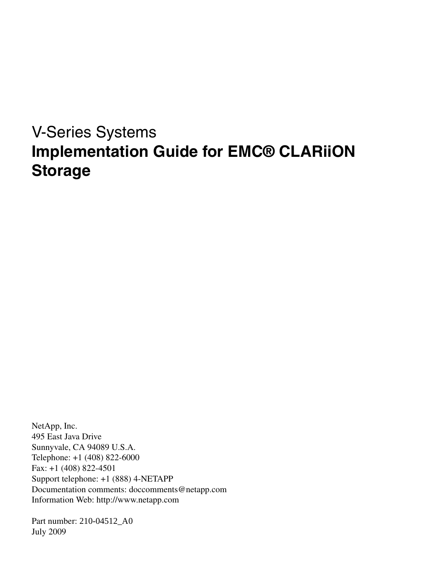# V-Series Systems **Implementation Guide for EMC® CLARiiON Storage**

NetApp, Inc. 495 East Java Drive Sunnyvale, CA 94089 U.S.A. Telephone: +1 (408) 822-6000 Fax: +1 (408) 822-4501 Support telephone: +1 (888) 4-NETAPP Documentation comments: doccomments@netapp.com Information Web: http://www.netapp.com

Part number: 210-04512\_A0 July 2009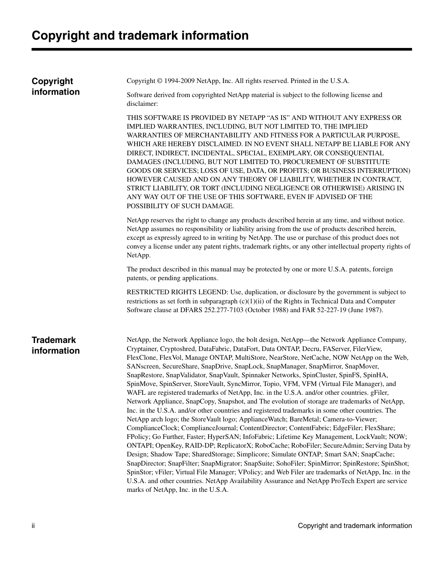# **Copyright and trademark information**

| Copyright<br>information        | Copyright © 1994-2009 NetApp, Inc. All rights reserved. Printed in the U.S.A.                                                                                                                                                                                                                                                                                                                                                                                                                                                                                                                                                                                                                                                                                                                                                                                                                                                                                                                                                                                                                                                                                                                                                                                                                                                                                                                                                                                                                                                                                                                                                                                                                     |  |
|---------------------------------|---------------------------------------------------------------------------------------------------------------------------------------------------------------------------------------------------------------------------------------------------------------------------------------------------------------------------------------------------------------------------------------------------------------------------------------------------------------------------------------------------------------------------------------------------------------------------------------------------------------------------------------------------------------------------------------------------------------------------------------------------------------------------------------------------------------------------------------------------------------------------------------------------------------------------------------------------------------------------------------------------------------------------------------------------------------------------------------------------------------------------------------------------------------------------------------------------------------------------------------------------------------------------------------------------------------------------------------------------------------------------------------------------------------------------------------------------------------------------------------------------------------------------------------------------------------------------------------------------------------------------------------------------------------------------------------------------|--|
|                                 | Software derived from copyrighted NetApp material is subject to the following license and<br>disclaimer:                                                                                                                                                                                                                                                                                                                                                                                                                                                                                                                                                                                                                                                                                                                                                                                                                                                                                                                                                                                                                                                                                                                                                                                                                                                                                                                                                                                                                                                                                                                                                                                          |  |
|                                 | THIS SOFTWARE IS PROVIDED BY NETAPP "AS IS" AND WITHOUT ANY EXPRESS OR<br>IMPLIED WARRANTIES, INCLUDING, BUT NOT LIMITED TO, THE IMPLIED<br>WARRANTIES OF MERCHANTABILITY AND FITNESS FOR A PARTICULAR PURPOSE,<br>WHICH ARE HEREBY DISCLAIMED. IN NO EVENT SHALL NETAPP BE LIABLE FOR ANY<br>DIRECT, INDIRECT, INCIDENTAL, SPECIAL, EXEMPLARY, OR CONSEQUENTIAL<br>DAMAGES (INCLUDING, BUT NOT LIMITED TO, PROCUREMENT OF SUBSTITUTE<br>GOODS OR SERVICES; LOSS OF USE, DATA, OR PROFITS; OR BUSINESS INTERRUPTION)<br>HOWEVER CAUSED AND ON ANY THEORY OF LIABILITY, WHETHER IN CONTRACT,<br>STRICT LIABILITY, OR TORT (INCLUDING NEGLIGENCE OR OTHERWISE) ARISING IN<br>ANY WAY OUT OF THE USE OF THIS SOFTWARE, EVEN IF ADVISED OF THE<br>POSSIBILITY OF SUCH DAMAGE.                                                                                                                                                                                                                                                                                                                                                                                                                                                                                                                                                                                                                                                                                                                                                                                                                                                                                                                         |  |
|                                 | NetApp reserves the right to change any products described herein at any time, and without notice.<br>NetApp assumes no responsibility or liability arising from the use of products described herein,<br>except as expressly agreed to in writing by NetApp. The use or purchase of this product does not<br>convey a license under any patent rights, trademark rights, or any other intellectual property rights of<br>NetApp.                                                                                                                                                                                                                                                                                                                                                                                                                                                                                                                                                                                                                                                                                                                                                                                                                                                                                                                                                                                                                                                                                                                                                                                                                                                                 |  |
|                                 | The product described in this manual may be protected by one or more U.S.A. patents, foreign<br>patents, or pending applications.                                                                                                                                                                                                                                                                                                                                                                                                                                                                                                                                                                                                                                                                                                                                                                                                                                                                                                                                                                                                                                                                                                                                                                                                                                                                                                                                                                                                                                                                                                                                                                 |  |
|                                 | RESTRICTED RIGHTS LEGEND: Use, duplication, or disclosure by the government is subject to<br>restrictions as set forth in subparagraph $(c)(1)(ii)$ of the Rights in Technical Data and Computer<br>Software clause at DFARS 252.277-7103 (October 1988) and FAR 52-227-19 (June 1987).                                                                                                                                                                                                                                                                                                                                                                                                                                                                                                                                                                                                                                                                                                                                                                                                                                                                                                                                                                                                                                                                                                                                                                                                                                                                                                                                                                                                           |  |
| <b>Trademark</b><br>information | NetApp, the Network Appliance logo, the bolt design, NetApp—the Network Appliance Company,<br>Cryptainer, Cryptoshred, DataFabric, DataFort, Data ONTAP, Decru, FAServer, FilerView,<br>FlexClone, FlexVol, Manage ONTAP, MultiStore, NearStore, NetCache, NOW NetApp on the Web,<br>SANscreen, SecureShare, SnapDrive, SnapLock, SnapManager, SnapMirror, SnapMover,<br>SnapRestore, SnapValidator, SnapVault, Spinnaker Networks, SpinCluster, SpinFS, SpinHA,<br>SpinMove, SpinServer, StoreVault, SyncMirror, Topio, VFM, VFM (Virtual File Manager), and<br>WAFL are registered trademarks of NetApp, Inc. in the U.S.A. and/or other countries. gFiler,<br>Network Appliance, SnapCopy, Snapshot, and The evolution of storage are trademarks of NetApp,<br>Inc. in the U.S.A. and/or other countries and registered trademarks in some other countries. The<br>NetApp arch logo; the StoreVault logo; ApplianceWatch; BareMetal; Camera-to-Viewer;<br>ComplianceClock; ComplianceJournal; ContentDirector; ContentFabric; EdgeFiler; FlexShare;<br>FPolicy; Go Further, Faster; HyperSAN; InfoFabric; Lifetime Key Management, LockVault; NOW;<br>ONTAPI; OpenKey, RAID-DP; ReplicatorX; RoboCache; RoboFiler; SecureAdmin; Serving Data by<br>Design; Shadow Tape; SharedStorage; Simplicore; Simulate ONTAP; Smart SAN; SnapCache;<br>SnapDirector; SnapFilter; SnapMigrator; SnapSuite; SohoFiler; SpinMirror; SpinRestore; SpinShot;<br>SpinStor; vFiler; Virtual File Manager; VPolicy; and Web Filer are trademarks of NetApp, Inc. in the<br>U.S.A. and other countries. NetApp Availability Assurance and NetApp ProTech Expert are service<br>marks of NetApp, Inc. in the U.S.A. |  |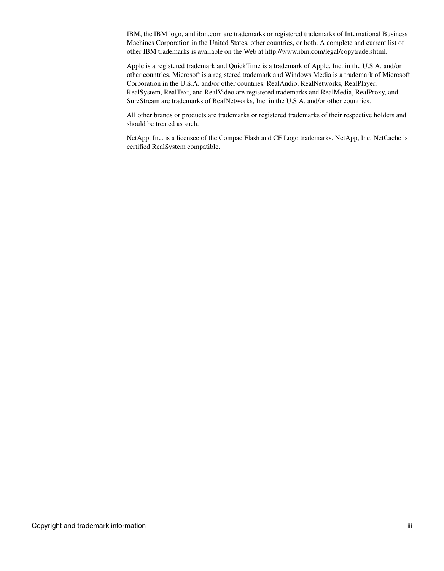IBM, the IBM logo, and ibm.com are trademarks or registered trademarks of International Business Machines Corporation in the United States, other countries, or both. A complete and current list of other IBM trademarks is available on the Web at http://www.ibm.com/legal/copytrade.shtml.

Apple is a registered trademark and QuickTime is a trademark of Apple, Inc. in the U.S.A. and/or other countries. Microsoft is a registered trademark and Windows Media is a trademark of Microsoft Corporation in the U.S.A. and/or other countries. RealAudio, RealNetworks, RealPlayer, RealSystem, RealText, and RealVideo are registered trademarks and RealMedia, RealProxy, and SureStream are trademarks of RealNetworks, Inc. in the U.S.A. and/or other countries.

All other brands or products are trademarks or registered trademarks of their respective holders and should be treated as such.

NetApp, Inc. is a licensee of the CompactFlash and CF Logo trademarks. NetApp, Inc. NetCache is certified RealSystem compatible.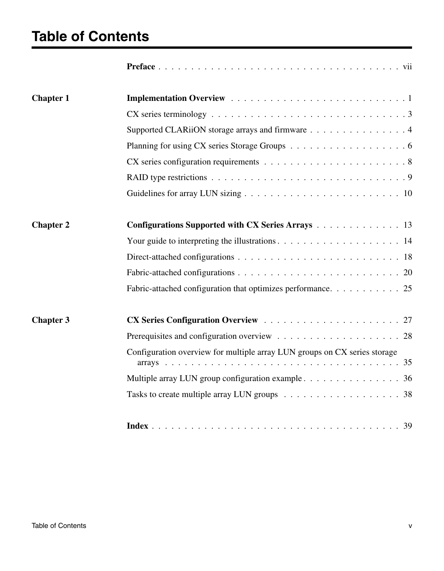# **Table of Contents**

| <b>Chapter 1</b> |                                                                                                    |
|------------------|----------------------------------------------------------------------------------------------------|
|                  |                                                                                                    |
|                  | Supported CLARiiON storage arrays and firmware 4                                                   |
|                  |                                                                                                    |
|                  | $CX$ series configuration requirements $\ldots \ldots \ldots \ldots \ldots \ldots \ldots \ldots 8$ |
|                  |                                                                                                    |
|                  |                                                                                                    |
| <b>Chapter 2</b> | <b>Configurations Supported with CX Series Arrays</b> 13                                           |
|                  |                                                                                                    |
|                  |                                                                                                    |
|                  |                                                                                                    |
|                  | Fabric-attached configuration that optimizes performance. 25                                       |
| <b>Chapter 3</b> |                                                                                                    |
|                  |                                                                                                    |
|                  | Configuration overview for multiple array LUN groups on CX series storage                          |
|                  | Multiple array LUN group configuration example 36                                                  |
|                  |                                                                                                    |
|                  |                                                                                                    |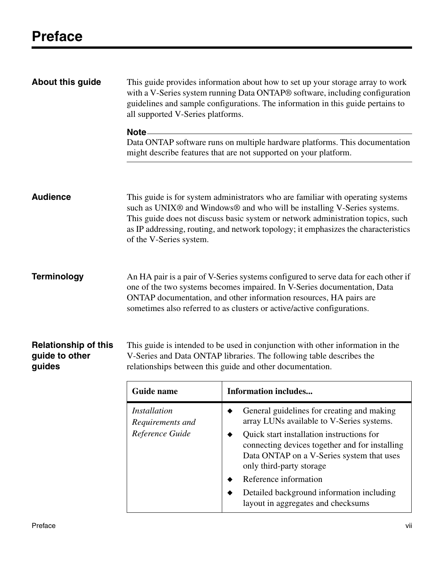<span id="page-6-0"></span>

| <b>About this guide</b>                                 | This guide provides information about how to set up your storage array to work<br>with a V-Series system running Data ONTAP® software, including configuration<br>guidelines and sample configurations. The information in this guide pertains to<br>all supported V-Series platforms. |                                                                                                                                                                                                                                                                                                                                                                                       |  |
|---------------------------------------------------------|----------------------------------------------------------------------------------------------------------------------------------------------------------------------------------------------------------------------------------------------------------------------------------------|---------------------------------------------------------------------------------------------------------------------------------------------------------------------------------------------------------------------------------------------------------------------------------------------------------------------------------------------------------------------------------------|--|
|                                                         | Note –                                                                                                                                                                                                                                                                                 | Data ONTAP software runs on multiple hardware platforms. This documentation<br>might describe features that are not supported on your platform.                                                                                                                                                                                                                                       |  |
| <b>Audience</b>                                         | of the V-Series system.                                                                                                                                                                                                                                                                | This guide is for system administrators who are familiar with operating systems<br>such as UNIX® and Windows® and who will be installing V-Series systems.<br>This guide does not discuss basic system or network administration topics, such<br>as IP addressing, routing, and network topology; it emphasizes the characteristics                                                   |  |
| <b>Terminology</b>                                      |                                                                                                                                                                                                                                                                                        | An HA pair is a pair of V-Series systems configured to serve data for each other if<br>one of the two systems becomes impaired. In V-Series documentation, Data<br>ONTAP documentation, and other information resources, HA pairs are<br>sometimes also referred to as clusters or active/active configurations.                                                                      |  |
| <b>Relationship of this</b><br>guide to other<br>guides | This guide is intended to be used in conjunction with other information in the<br>V-Series and Data ONTAP libraries. The following table describes the<br>relationships between this guide and other documentation.                                                                    |                                                                                                                                                                                                                                                                                                                                                                                       |  |
|                                                         | Guide name                                                                                                                                                                                                                                                                             | <b>Information includes</b>                                                                                                                                                                                                                                                                                                                                                           |  |
|                                                         | <i>Installation</i><br>Requirements and<br>Reference Guide                                                                                                                                                                                                                             | General guidelines for creating and making<br>٠<br>array LUNs available to V-Series systems.<br>Quick start installation instructions for<br>٠<br>connecting devices together and for installing<br>Data ONTAP on a V-Series system that uses<br>only third-party storage<br>Reference information<br>Detailed background information including<br>layout in aggregates and checksums |  |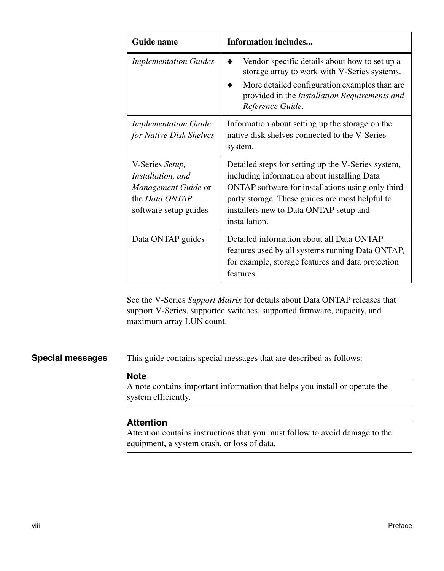| Guide name                                                                                                    | <b>Information includes</b>                                                                                                                                                                                                                                           |
|---------------------------------------------------------------------------------------------------------------|-----------------------------------------------------------------------------------------------------------------------------------------------------------------------------------------------------------------------------------------------------------------------|
| <b>Implementation Guides</b>                                                                                  | Vendor-specific details about how to set up a<br>storage array to work with V-Series systems.<br>More detailed configuration examples than are<br>provided in the <i>Installation Requirements and</i><br>Reference Guide.                                            |
| <b>Implementation Guide</b><br>for Native Disk Shelves                                                        | Information about setting up the storage on the<br>native disk shelves connected to the V-Series<br>system.                                                                                                                                                           |
| V-Series Setup,<br>Installation, and<br>Management Guide or<br>the <i>Data ONTAP</i><br>software setup guides | Detailed steps for setting up the V-Series system,<br>including information about installing Data<br>ONTAP software for installations using only third-<br>party storage. These guides are most helpful to<br>installers new to Data ONTAP setup and<br>installation. |
| Data ONTAP guides                                                                                             | Detailed information about all Data ONTAP<br>features used by all systems running Data ONTAP,<br>for example, storage features and data protection<br>features.                                                                                                       |

See the V-Series *Support Matrix* for details about Data ONTAP releases that support V-Series, supported switches, supported firmware, capacity, and maximum array LUN count.

**Special messages** This guide contains special messages that are described as follows:

#### **Note**

A note contains important information that helps you install or operate the system efficiently.

#### **Attention**

Attention contains instructions that you must follow to avoid damage to the equipment, a system crash, or loss of data.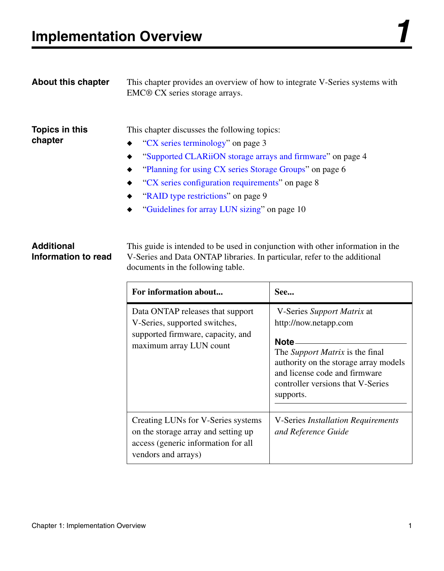<span id="page-8-0"></span>

| <b>About this chapter</b> | This chapter provides an overview of how to integrate V-Series systems with<br>EMC® CX series storage arrays.                                                                                                                                                                                                                                                                                                              |
|---------------------------|----------------------------------------------------------------------------------------------------------------------------------------------------------------------------------------------------------------------------------------------------------------------------------------------------------------------------------------------------------------------------------------------------------------------------|
| Topics in this<br>chapter | This chapter discusses the following topics:<br>$\triangleleft$ "CX series terminology" on page 3<br>"Supported CLARiiON storage arrays and firmware" on page 4<br>$\bullet$<br>• "Planning for using CX series Storage Groups" on page 6<br>"CX series configuration requirements" on page 8<br>$\bullet$<br>"RAID type restrictions" on page 9<br>$\bullet$<br>"Guidelines for array LUN sizing" on page 10<br>$\bullet$ |

#### **Additional Information to read**

This guide is intended to be used in conjunction with other information in the V-Series and Data ONTAP libraries. In particular, refer to the additional documents in the following table.

| For information about                                                                                                                   | See                                                                                                                                                                                                                                |
|-----------------------------------------------------------------------------------------------------------------------------------------|------------------------------------------------------------------------------------------------------------------------------------------------------------------------------------------------------------------------------------|
| Data ONTAP releases that support<br>V-Series, supported switches,<br>supported firmware, capacity, and<br>maximum array LUN count       | V-Series Support Matrix at<br>http://now.netapp.com<br>Note.<br>The <i>Support Matrix</i> is the final<br>authority on the storage array models<br>and license code and firmware<br>controller versions that V-Series<br>supports. |
| Creating LUNs for V-Series systems<br>on the storage array and setting up<br>access (generic information for all<br>vendors and arrays) | <b>V-Series Installation Requirements</b><br>and Reference Guide                                                                                                                                                                   |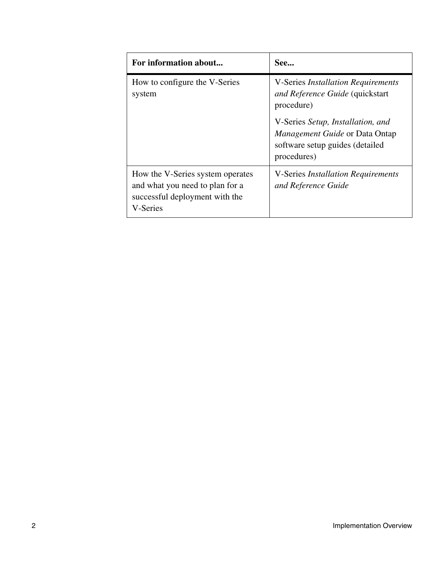| For information about                                                                                             | See                                                                                                                                                                                                                 |
|-------------------------------------------------------------------------------------------------------------------|---------------------------------------------------------------------------------------------------------------------------------------------------------------------------------------------------------------------|
| How to configure the V-Series<br>system                                                                           | <b>V-Series Installation Requirements</b><br>and Reference Guide (quickstart<br>procedure)<br>V-Series Setup, Installation, and<br>Management Guide or Data Ontap<br>software setup guides (detailed<br>procedures) |
| How the V-Series system operates<br>and what you need to plan for a<br>successful deployment with the<br>V-Series | <b>V-Series Installation Requirements</b><br>and Reference Guide                                                                                                                                                    |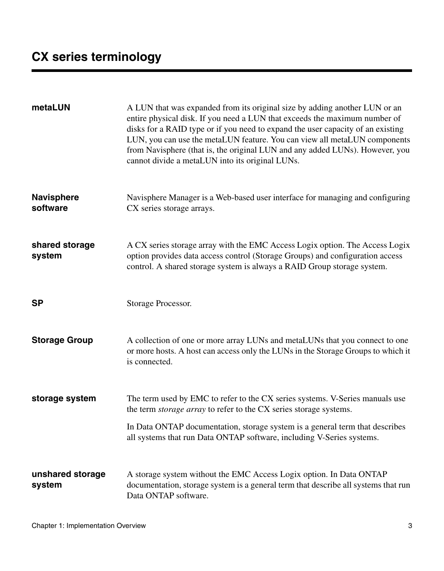<span id="page-10-0"></span>

| metaLUN                       | A LUN that was expanded from its original size by adding another LUN or an<br>entire physical disk. If you need a LUN that exceeds the maximum number of<br>disks for a RAID type or if you need to expand the user capacity of an existing<br>LUN, you can use the metaLUN feature. You can view all metaLUN components<br>from Navisphere (that is, the original LUN and any added LUNs). However, you<br>cannot divide a metaLUN into its original LUNs. |
|-------------------------------|-------------------------------------------------------------------------------------------------------------------------------------------------------------------------------------------------------------------------------------------------------------------------------------------------------------------------------------------------------------------------------------------------------------------------------------------------------------|
| <b>Navisphere</b><br>software | Navisphere Manager is a Web-based user interface for managing and configuring<br>CX series storage arrays.                                                                                                                                                                                                                                                                                                                                                  |
| shared storage<br>system      | A CX series storage array with the EMC Access Logix option. The Access Logix<br>option provides data access control (Storage Groups) and configuration access<br>control. A shared storage system is always a RAID Group storage system.                                                                                                                                                                                                                    |
| <b>SP</b>                     | Storage Processor.                                                                                                                                                                                                                                                                                                                                                                                                                                          |
| <b>Storage Group</b>          | A collection of one or more array LUNs and metaLUNs that you connect to one<br>or more hosts. A host can access only the LUNs in the Storage Groups to which it<br>is connected.                                                                                                                                                                                                                                                                            |
| storage system                | The term used by EMC to refer to the CX series systems. V-Series manuals use<br>the term storage array to refer to the CX series storage systems.                                                                                                                                                                                                                                                                                                           |
|                               | In Data ONTAP documentation, storage system is a general term that describes<br>all systems that run Data ONTAP software, including V-Series systems.                                                                                                                                                                                                                                                                                                       |
| unshared storage<br>system    | A storage system without the EMC Access Logix option. In Data ONTAP<br>documentation, storage system is a general term that describe all systems that run<br>Data ONTAP software.                                                                                                                                                                                                                                                                           |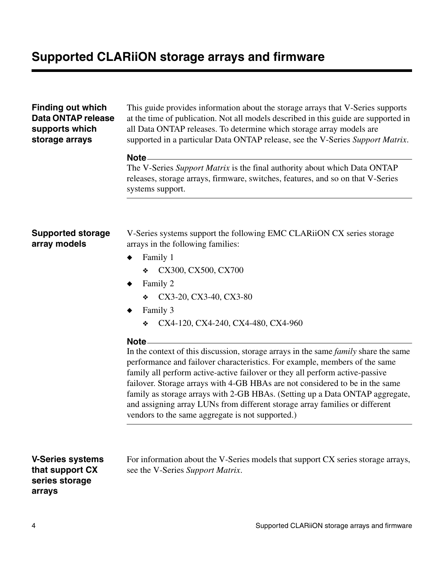#### <span id="page-11-4"></span><span id="page-11-1"></span><span id="page-11-0"></span>**Finding out which Data ONTAP release supports which storage arrays** This guide provides information about the storage arrays that V-Series supports at the time of publication. Not all models described in this guide are supported in all Data ONTAP releases. To determine which storage array models are supported in a particular Data ONTAP release, see the V-Series *Support Matrix*. **Note** The V-Series *Support Matrix* is the final authority about which Data ONTAP releases, storage arrays, firmware, switches, features, and so on that V-Series systems support. **Supported storage array models** V-Series systems support the following EMC CLARiiON CX series storage arrays in the following families: Family 1 ❖ CX300, CX500, CX700 Family 2 ❖ CX3-20, CX3-40, CX3-80 Family 3 ❖ CX4-120, CX4-240, CX4-480, CX4-960 **Note** In the context of this discussion, storage arrays in the same *family* share the same performance and failover characteristics. For example, members of the same family all perform active-active failover or they all perform active-passive failover. Storage arrays with 4-GB HBAs are not considered to be in the same family as storage arrays with 2-GB HBAs. (Setting up a Data ONTAP aggregate, and assigning array LUNs from different storage array families or different vendors to the same aggregate is not supported.)

#### **V-Series systems that support CX series storage arrays**

<span id="page-11-3"></span><span id="page-11-2"></span>For information about the V-Series models that support CX series storage arrays, see the V-Series *Support Matrix*.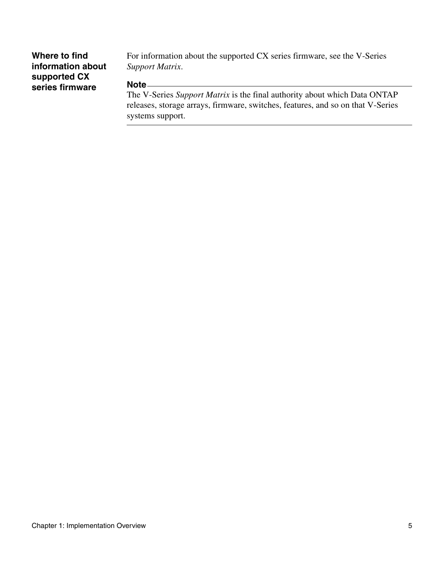#### **Where to find information about supported CX series firmware**

For information about the supported CX series firmware, see the V-Series *Support Matrix*.

#### **Note**

The V-Series *Support Matrix* is the final authority about which Data ONTAP releases, storage arrays, firmware, switches, features, and so on that V-Series systems support.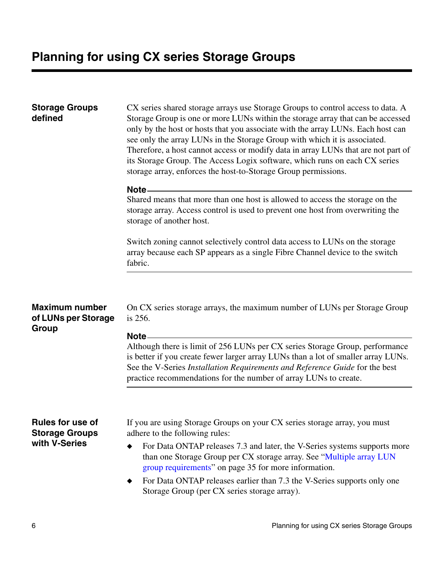<span id="page-13-4"></span><span id="page-13-3"></span><span id="page-13-2"></span><span id="page-13-1"></span><span id="page-13-0"></span>

| <b>Storage Groups</b><br>defined                      | CX series shared storage arrays use Storage Groups to control access to data. A<br>Storage Group is one or more LUNs within the storage array that can be accessed<br>only by the host or hosts that you associate with the array LUNs. Each host can<br>see only the array LUNs in the Storage Group with which it is associated.<br>Therefore, a host cannot access or modify data in array LUNs that are not part of<br>its Storage Group. The Access Logix software, which runs on each CX series<br>storage array, enforces the host-to-Storage Group permissions. |
|-------------------------------------------------------|-------------------------------------------------------------------------------------------------------------------------------------------------------------------------------------------------------------------------------------------------------------------------------------------------------------------------------------------------------------------------------------------------------------------------------------------------------------------------------------------------------------------------------------------------------------------------|
|                                                       | Note-                                                                                                                                                                                                                                                                                                                                                                                                                                                                                                                                                                   |
|                                                       | Shared means that more than one host is allowed to access the storage on the<br>storage array. Access control is used to prevent one host from overwriting the<br>storage of another host.                                                                                                                                                                                                                                                                                                                                                                              |
|                                                       | Switch zoning cannot selectively control data access to LUNs on the storage<br>array because each SP appears as a single Fibre Channel device to the switch<br>fabric.                                                                                                                                                                                                                                                                                                                                                                                                  |
| <b>Maximum number</b><br>of LUNs per Storage<br>Group | On CX series storage arrays, the maximum number of LUNs per Storage Group<br>is 256.<br>Note-                                                                                                                                                                                                                                                                                                                                                                                                                                                                           |
|                                                       | Although there is limit of 256 LUNs per CX series Storage Group, performance<br>is better if you create fewer larger array LUNs than a lot of smaller array LUNs.<br>See the V-Series Installation Requirements and Reference Guide for the best<br>practice recommendations for the number of array LUNs to create.                                                                                                                                                                                                                                                    |
|                                                       |                                                                                                                                                                                                                                                                                                                                                                                                                                                                                                                                                                         |
| Rules for use of<br><b>Storage Groups</b>             | If you are using Storage Groups on your CX series storage array, you must<br>adhere to the following rules:                                                                                                                                                                                                                                                                                                                                                                                                                                                             |
| with V-Series                                         | For Data ONTAP releases 7.3 and later, the V-Series systems supports more<br>٠<br>than one Storage Group per CX storage array. See "Multiple array LUN<br>group requirements" on page 35 for more information.                                                                                                                                                                                                                                                                                                                                                          |
|                                                       | For Data ONTAP releases earlier than 7.3 the V-Series supports only one<br>Storage Group (per CX series storage array).                                                                                                                                                                                                                                                                                                                                                                                                                                                 |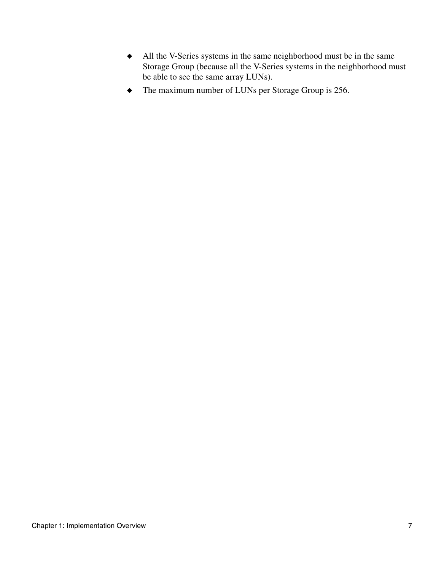- ◆ All the V-Series systems in the same neighborhood must be in the same Storage Group (because all the V-Series systems in the neighborhood must be able to see the same array LUNs).
- ◆ The maximum number of LUNs per Storage Group is 256.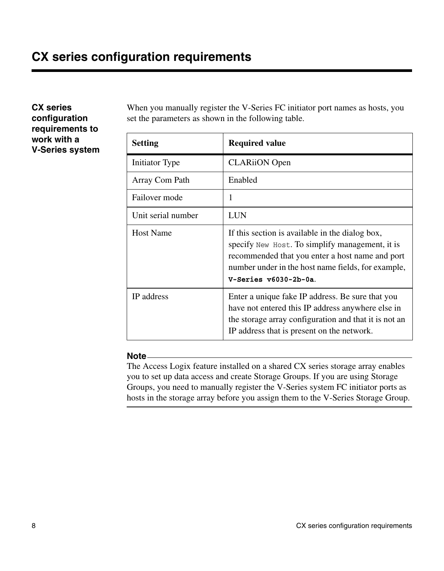<span id="page-15-1"></span><span id="page-15-0"></span>**CX series configuration requirements to work with a V-Series system**  <span id="page-15-4"></span><span id="page-15-3"></span><span id="page-15-2"></span>When you manually register the V-Series FC initiator port names as hosts, you set the parameters as shown in the following table.

| <b>Setting</b>     | <b>Required value</b>                                                                                                                                                                                                                  |
|--------------------|----------------------------------------------------------------------------------------------------------------------------------------------------------------------------------------------------------------------------------------|
| Initiator Type     | <b>CLARiiON</b> Open                                                                                                                                                                                                                   |
| Array Com Path     | Enabled                                                                                                                                                                                                                                |
| Failover mode      | 1                                                                                                                                                                                                                                      |
| Unit serial number | LUN                                                                                                                                                                                                                                    |
| <b>Host Name</b>   | If this section is available in the dialog box,<br>specify New Host. To simplify management, it is<br>recommended that you enter a host name and port<br>number under in the host name fields, for example,<br>$V-Series v6030-2b-0a.$ |
| IP address         | Enter a unique fake IP address. Be sure that you<br>have not entered this IP address anywhere else in<br>the storage array configuration and that it is not an<br>IP address that is present on the network.                           |

#### **Note**

The Access Logix feature installed on a shared CX series storage array enables you to set up data access and create Storage Groups. If you are using Storage Groups, you need to manually register the V-Series system FC initiator ports as hosts in the storage array before you assign them to the V-Series Storage Group.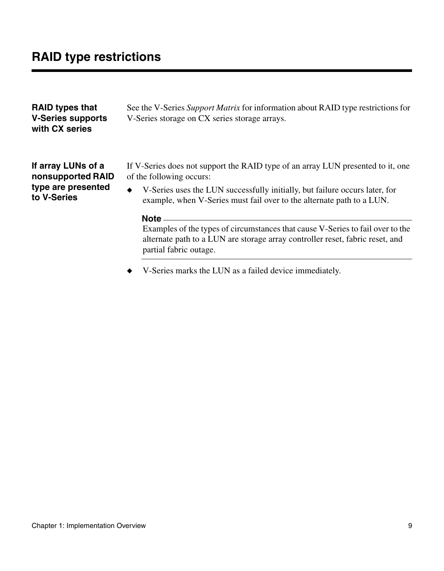**to V-Series**

<span id="page-16-0"></span>

| <b>RAID types that</b><br><b>V-Series supports</b><br>with CX series | See the V-Series Support Matrix for information about RAID type restrictions for<br>V-Series storage on CX series storage arrays. |
|----------------------------------------------------------------------|-----------------------------------------------------------------------------------------------------------------------------------|
| If array LUNs of a                                                   | If V-Series does not support the RAID type of an array LUN presented to it, one                                                   |
| nonsupported RAID                                                    | of the following occurs:                                                                                                          |
| type are presented                                                   | $\bullet$ V-Series uses the LUN successfully initially but failure occurs later for                                               |

#### <span id="page-16-2"></span><span id="page-16-1"></span>◆ V-Series uses the LUN successfully initially, but failure occurs later, for example, when V-Series must fail over to the alternate path to a LUN.

#### **Note**

Examples of the types of circumstances that cause V-Series to fail over to the alternate path to a LUN are storage array controller reset, fabric reset, and partial fabric outage.

◆ V-Series marks the LUN as a failed device immediately.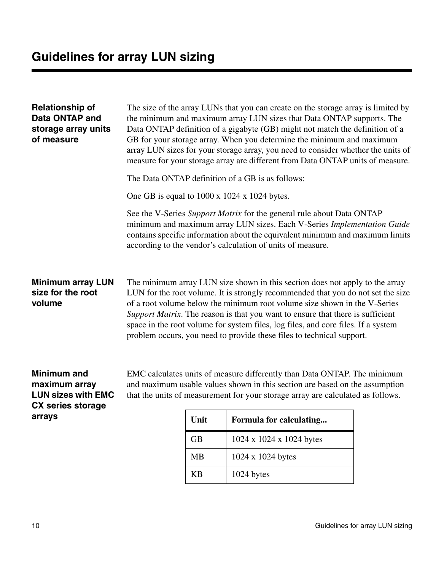<span id="page-17-3"></span><span id="page-17-2"></span><span id="page-17-1"></span><span id="page-17-0"></span>

| <b>Relationship of</b><br>Data ONTAP and<br>storage array units<br>of measure                | The size of the array LUNs that you can create on the storage array is limited by<br>the minimum and maximum array LUN sizes that Data ONTAP supports. The<br>Data ONTAP definition of a gigabyte (GB) might not match the definition of a<br>GB for your storage array. When you determine the minimum and maximum<br>array LUN sizes for your storage array, you need to consider whether the units of<br>measure for your storage array are different from Data ONTAP units of measure.    |
|----------------------------------------------------------------------------------------------|-----------------------------------------------------------------------------------------------------------------------------------------------------------------------------------------------------------------------------------------------------------------------------------------------------------------------------------------------------------------------------------------------------------------------------------------------------------------------------------------------|
|                                                                                              | The Data ONTAP definition of a GB is as follows:                                                                                                                                                                                                                                                                                                                                                                                                                                              |
|                                                                                              | One GB is equal to $1000 \times 1024 \times 1024$ bytes.                                                                                                                                                                                                                                                                                                                                                                                                                                      |
|                                                                                              | See the V-Series Support Matrix for the general rule about Data ONTAP<br>minimum and maximum array LUN sizes. Each V-Series Implementation Guide<br>contains specific information about the equivalent minimum and maximum limits<br>according to the vendor's calculation of units of measure.                                                                                                                                                                                               |
| <b>Minimum array LUN</b><br>size for the root<br>volume                                      | The minimum array LUN size shown in this section does not apply to the array<br>LUN for the root volume. It is strongly recommended that you do not set the size<br>of a root volume below the minimum root volume size shown in the V-Series<br>Support Matrix. The reason is that you want to ensure that there is sufficient<br>space in the root volume for system files, log files, and core files. If a system<br>problem occurs, you need to provide these files to technical support. |
| <b>Minimum and</b><br>maximum array<br><b>LUN sizes with EMC</b><br><b>CX series storage</b> | EMC calculates units of measure differently than Data ONTAP. The minimum<br>and maximum usable values shown in this section are based on the assumption<br>that the units of measurement for your storage array are calculated as follows.                                                                                                                                                                                                                                                    |

**Unit Formula for calculating...** GB 1024 x 1024 x 1024 bytes MB 1024 x 1024 bytes KB 1024 bytes

**arrays**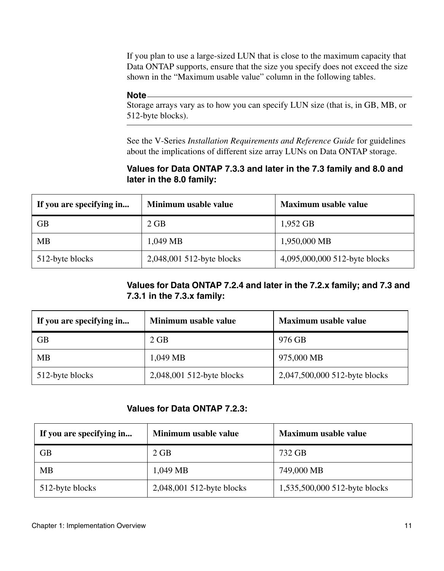If you plan to use a large-sized LUN that is close to the maximum capacity that Data ONTAP supports, ensure that the size you specify does not exceed the size shown in the "Maximum usable value" column in the following tables.

#### **Note**

Storage arrays vary as to how you can specify LUN size (that is, in GB, MB, or 512-byte blocks).

See the V-Series *Installation Requirements and Reference Guide* for guidelines about the implications of different size array LUNs on Data ONTAP storage.

#### **Values for Data ONTAP 7.3.3 and later in the 7.3 family and 8.0 and later in the 8.0 family:**

| If you are specifying in | Minimum usable value      | Maximum usable value          |
|--------------------------|---------------------------|-------------------------------|
| <b>GB</b>                | $2$ GB                    | 1,952 GB                      |
| MB                       | 1,049 MB                  | 1,950,000 MB                  |
| 512-byte blocks          | 2,048,001 512-byte blocks | 4,095,000,000 512-byte blocks |

#### **Values for Data ONTAP 7.2.4 and later in the 7.2.x family; and 7.3 and 7.3.1 in the 7.3.x family:**

| If you are specifying in | Minimum usable value      | Maximum usable value          |
|--------------------------|---------------------------|-------------------------------|
| GB                       | $2$ GB                    | 976 GB                        |
| MВ                       | 1.049 MB                  | 975,000 MB                    |
| 512-byte blocks          | 2,048,001 512-byte blocks | 2,047,500,000 512-byte blocks |

#### **Values for Data ONTAP 7.2.3:**

| If you are specifying in | Minimum usable value      | Maximum usable value          |
|--------------------------|---------------------------|-------------------------------|
| <b>GB</b>                | $2$ GB                    | 732 GB                        |
| <b>MB</b>                | 1.049 MB                  | 749,000 MB                    |
| 512-byte blocks          | 2,048,001 512-byte blocks | 1,535,500,000 512-byte blocks |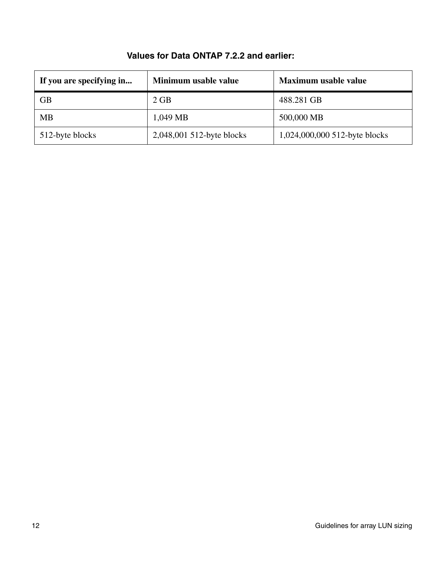| Minimum usable value<br>If you are specifying in |                           | Maximum usable value          |  |
|--------------------------------------------------|---------------------------|-------------------------------|--|
| GB                                               | $2$ GB                    | 488.281 GB                    |  |
| <b>MB</b>                                        | 1,049 MB                  | 500,000 MB                    |  |
| 512-byte blocks                                  | 2,048,001 512-byte blocks | 1,024,000,000 512-byte blocks |  |

#### **Values for Data ONTAP 7.2.2 and earlier:**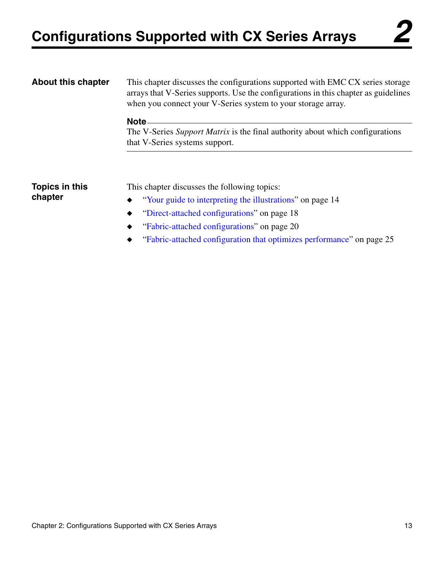<span id="page-20-0"></span>

| <b>About this chapter</b> | This chapter discusses the configurations supported with EMC CX series storage<br>arrays that V-Series supports. Use the configurations in this chapter as guidelines<br>when you connect your V-Series system to your storage array. |  |
|---------------------------|---------------------------------------------------------------------------------------------------------------------------------------------------------------------------------------------------------------------------------------|--|
|                           | Note -<br>The V-Series Support Matrix is the final authority about which configurations                                                                                                                                               |  |
|                           | that V-Series systems support.                                                                                                                                                                                                        |  |
|                           |                                                                                                                                                                                                                                       |  |
| Topics in this            | This chapter discusses the following topics:                                                                                                                                                                                          |  |
| chapter                   | "Your guide to interpreting the illustrations" on page 14                                                                                                                                                                             |  |
|                           | "Direct-attached configurations" on page 18                                                                                                                                                                                           |  |
|                           | "Fabric-attached configurations" on page 20                                                                                                                                                                                           |  |
|                           | "Fabric-attached configuration that optimizes performance" on page 25                                                                                                                                                                 |  |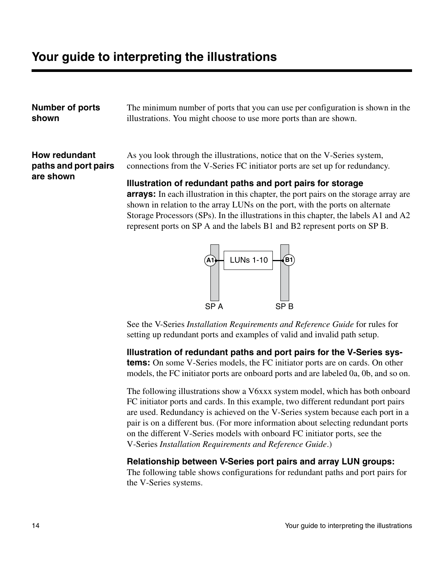<span id="page-21-0"></span>**Number of ports shown**

The minimum number of ports that you can use per configuration is shown in the illustrations. You might choose to use more ports than are shown.

#### **How redundant paths and port pairs are shown**

As you look through the illustrations, notice that on the V-Series system, connections from the V-Series FC initiator ports are set up for redundancy.

<span id="page-21-1"></span>**Illustration of redundant paths and port pairs for storage arrays:** In each illustration in this chapter, the port pairs on the storage array are shown in relation to the array LUNs on the port, with the ports on alternate Storage Processors (SPs). In the illustrations in this chapter, the labels A1 and A2 represent ports on SP A and the labels B1 and B2 represent ports on SP B.



See the V-Series *Installation Requirements and Reference Guide* for rules for setting up redundant ports and examples of valid and invalid path setup.

**Illustration of redundant paths and port pairs for the V-Series systems:** On some V-Series models, the FC initiator ports are on cards. On other models, the FC initiator ports are onboard ports and are labeled 0a, 0b, and so on.

The following illustrations show a V6xxx system model, which has both onboard FC initiator ports and cards. In this example, two different redundant port pairs are used. Redundancy is achieved on the V-Series system because each port in a pair is on a different bus. (For more information about selecting redundant ports on the different V-Series models with onboard FC initiator ports, see the V-Series *Installation Requirements and Reference Guide*.)

#### **Relationship between V-Series port pairs and array LUN groups:**

The following table shows configurations for redundant paths and port pairs for the V-Series systems.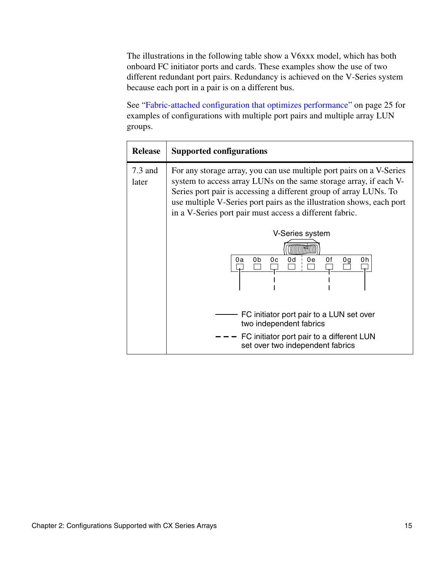The illustrations in the following table show a V6xxx model, which has both onboard FC initiator ports and cards. These examples show the use of two different redundant port pairs. Redundancy is achieved on the V-Series system because each port in a pair is on a different bus.

See ["Fabric-attached configuration that optimizes performance" on page 25](#page-32-0) for examples of configurations with multiple port pairs and multiple array LUN groups.

| <b>Release</b>     | Supported configurations                                                                                                                                                                                                                                                                                                                           |  |
|--------------------|----------------------------------------------------------------------------------------------------------------------------------------------------------------------------------------------------------------------------------------------------------------------------------------------------------------------------------------------------|--|
| $7.3$ and<br>later | For any storage array, you can use multiple port pairs on a V-Series<br>system to access array LUNs on the same storage array, if each V-<br>Series port pair is accessing a different group of array LUNs. To<br>use multiple V-Series port pairs as the illustration shows, each port<br>in a V-Series port pair must access a different fabric. |  |
|                    | V-Series system                                                                                                                                                                                                                                                                                                                                    |  |
|                    | 0d<br>0f<br>0b<br>0c<br>0e<br>0h<br>0g<br>0a                                                                                                                                                                                                                                                                                                       |  |
|                    | FC initiator port pair to a LUN set over<br>two independent fabrics<br>FC initiator port pair to a different LUN<br>set over two independent fabrics                                                                                                                                                                                               |  |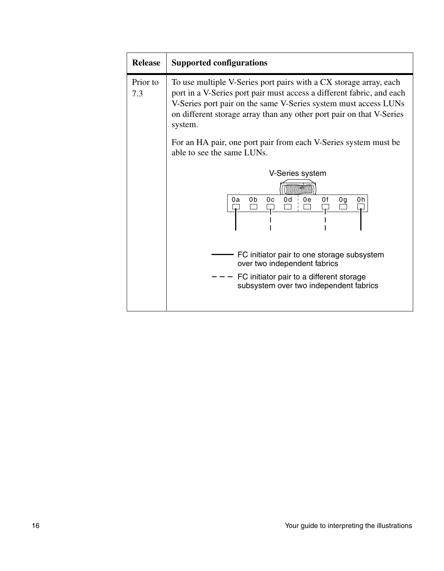| <b>Release</b>  | <b>Supported configurations</b>                                                                                                                                                                                                                                                                                                                                                                   |  |
|-----------------|---------------------------------------------------------------------------------------------------------------------------------------------------------------------------------------------------------------------------------------------------------------------------------------------------------------------------------------------------------------------------------------------------|--|
| Prior to<br>7.3 | To use multiple V-Series port pairs with a CX storage array, each<br>port in a V-Series port pair must access a different fabric, and each<br>V-Series port pair on the same V-Series system must access LUNs<br>on different storage array than any other port pair on that V-Series<br>system.<br>For an HA pair, one port pair from each V-Series system must be<br>able to see the same LUNs. |  |
|                 | V-Series system<br>0d<br>0b<br>0e<br>0f<br>0c<br>0a<br>0h<br>0g<br>FC initiator pair to one storage subsystem<br>over two independent fabrics                                                                                                                                                                                                                                                     |  |
|                 | FC initiator pair to a different storage<br>subsystem over two independent fabrics                                                                                                                                                                                                                                                                                                                |  |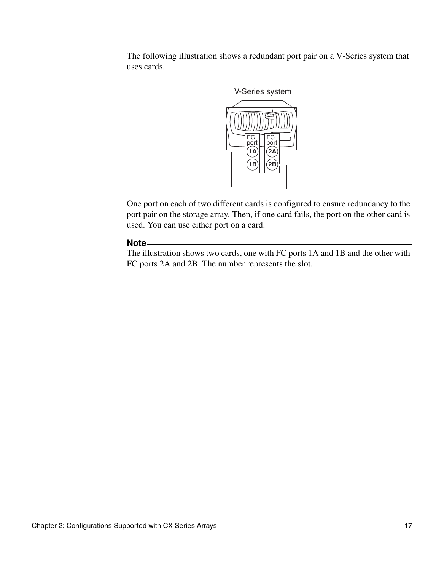The following illustration shows a redundant port pair on a V-Series system that uses cards.



One port on each of two different cards is configured to ensure redundancy to the port pair on the storage array. Then, if one card fails, the port on the other card is used. You can use either port on a card.

#### **Note**

The illustration shows two cards, one with FC ports 1A and 1B and the other with FC ports 2A and 2B. The number represents the slot.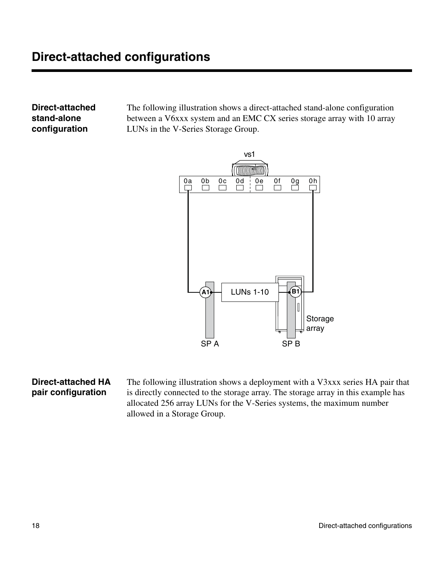<span id="page-25-0"></span>**Direct-attached stand-alone configuration**

The following illustration shows a direct-attached stand-alone configuration between a V6xxx system and an EMC CX series storage array with 10 array LUNs in the V-Series Storage Group.



#### **Direct-attached HA pair configuration**

<span id="page-25-1"></span>The following illustration shows a deployment with a V3xxx series HA pair that is directly connected to the storage array. The storage array in this example has allocated 256 array LUNs for the V-Series systems, the maximum number allowed in a Storage Group.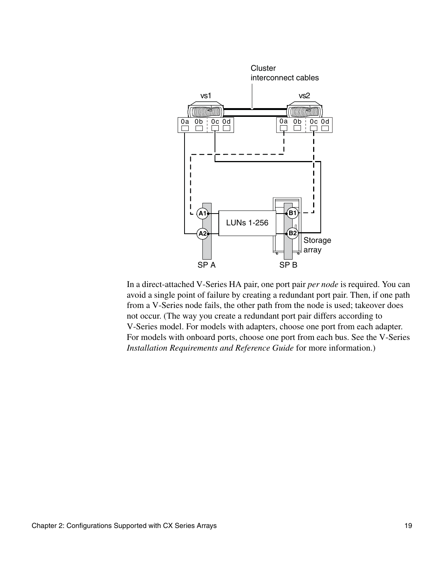

In a direct-attached V-Series HA pair, one port pair *per node* is required. You can avoid a single point of failure by creating a redundant port pair. Then, if one path from a V-Series node fails, the other path from the node is used; takeover does not occur. (The way you create a redundant port pair differs according to V-Series model. For models with adapters, choose one port from each adapter. For models with onboard ports, choose one port from each bus. See the V-Series *Installation Requirements and Reference Guide* for more information.)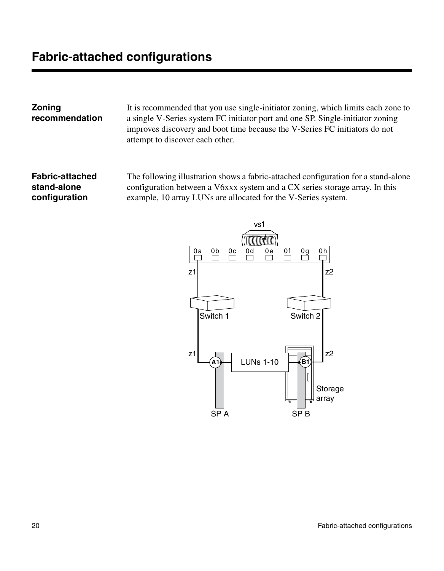<span id="page-27-0"></span>**Zoning recommendation**

<span id="page-27-2"></span>It is recommended that you use single-initiator zoning, which limits each zone to a single V-Series system FC initiator port and one SP. Single-initiator zoning improves discovery and boot time because the V-Series FC initiators do not attempt to discover each other.

**Fabric-attached stand-alone configuration**

<span id="page-27-1"></span>The following illustration shows a fabric-attached configuration for a stand-alone configuration between a V6xxx system and a CX series storage array. In this example, 10 array LUNs are allocated for the V-Series system.

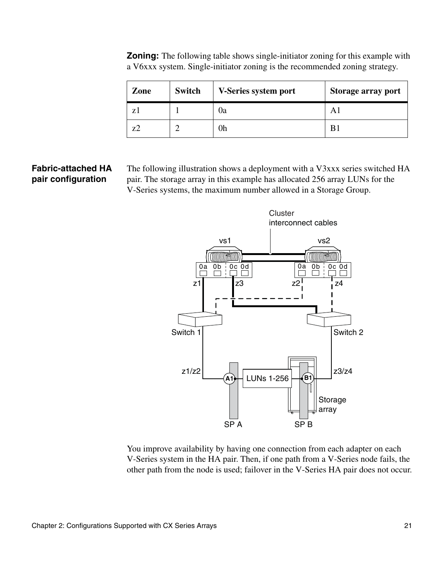| Zone  | Switch | V-Series system port | Storage array port |
|-------|--------|----------------------|--------------------|
| $Z_1$ |        | 0a                   |                    |
| 72    |        | 0h                   |                    |

**Zoning:** The following table shows single-initiator zoning for this example with a V6xxx system. Single-initiator zoning is the recommended zoning strategy.

### **Fabric-attached HA pair configuration**

The following illustration shows a deployment with a V3xxx series switched HA pair. The storage array in this example has allocated 256 array LUNs for the V-Series systems, the maximum number allowed in a Storage Group.

<span id="page-28-0"></span>

You improve availability by having one connection from each adapter on each V-Series system in the HA pair. Then, if one path from a V-Series node fails, the other path from the node is used; failover in the V-Series HA pair does not occur.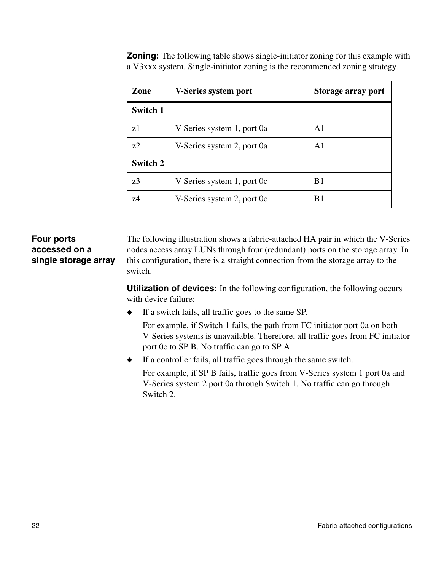| Zone           | V-Series system port       | Storage array port |
|----------------|----------------------------|--------------------|
| Switch 1       |                            |                    |
| z1             | V-Series system 1, port 0a | A <sub>1</sub>     |
| z <sub>2</sub> | V-Series system 2, port 0a | A1                 |
| Switch 2       |                            |                    |
| z3             | V-Series system 1, port 0c | B <sub>1</sub>     |
| 74             | V-Series system 2, port 0c | B <sub>1</sub>     |

**Zoning:** The following table shows single-initiator zoning for this example with a V3xxx system. Single-initiator zoning is the recommended zoning strategy.

#### **Four ports accessed on a single storage array**

<span id="page-29-0"></span>The following illustration shows a fabric-attached HA pair in which the V-Series nodes access array LUNs through four (redundant) ports on the storage array. In this configuration, there is a straight connection from the storage array to the switch.

**Utilization of devices:** In the following configuration, the following occurs with device failure:

◆ If a switch fails, all traffic goes to the same SP.

For example, if Switch 1 fails, the path from FC initiator port 0a on both V-Series systems is unavailable. Therefore, all traffic goes from FC initiator port 0c to SP B. No traffic can go to SP A.

◆ If a controller fails, all traffic goes through the same switch.

For example, if SP B fails, traffic goes from V-Series system 1 port 0a and V-Series system 2 port 0a through Switch 1. No traffic can go through Switch 2.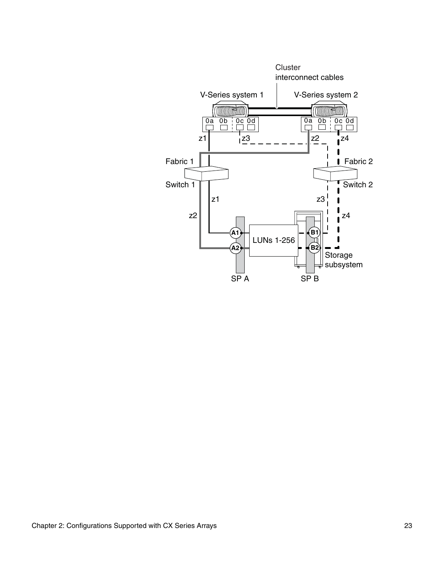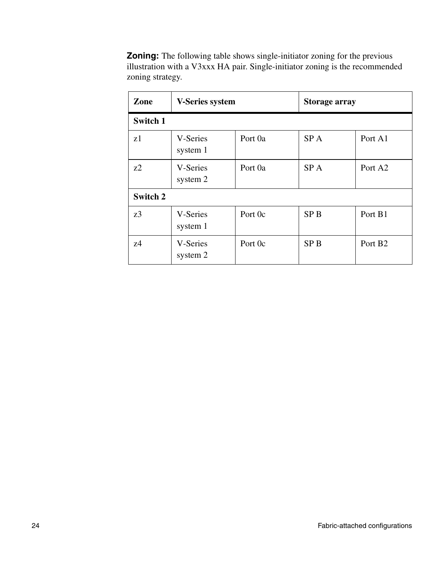<span id="page-31-0"></span>**Zoning:** The following table shows single-initiator zoning for the previous illustration with a V3xxx HA pair. Single-initiator zoning is the recommended zoning strategy.

| Zone     | <b>V-Series system</b> |         | Storage array   |                     |
|----------|------------------------|---------|-----------------|---------------------|
| Switch 1 |                        |         |                 |                     |
| z1       | V-Series<br>system 1   | Port 0a | SP A            | Port A1             |
| 7.2      | V-Series<br>system 2   | Port 0a | SP <sub>A</sub> | Port A <sub>2</sub> |
| Switch 2 |                        |         |                 |                     |
| z3       | V-Series<br>system 1   | Port 0c | <b>SPB</b>      | Port B1             |
| 74       | V-Series<br>system 2   | Port 0c | <b>SPB</b>      | Port B <sub>2</sub> |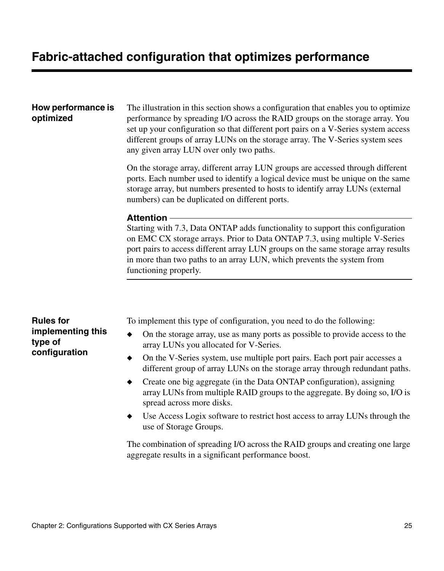#### <span id="page-32-0"></span>**How performance is optimized**

**type of configuration** <span id="page-32-2"></span>The illustration in this section shows a configuration that enables you to optimize performance by spreading I/O across the RAID groups on the storage array. You set up your configuration so that different port pairs on a V-Series system access different groups of array LUNs on the storage array. The V-Series system sees any given array LUN over only two paths.

On the storage array, different array LUN groups are accessed through different ports. Each number used to identify a logical device must be unique on the same storage array, but numbers presented to hosts to identify array LUNs (external numbers) can be duplicated on different ports.

#### **Attention**

Starting with 7.3, Data ONTAP adds functionality to support this configuration on EMC CX storage arrays. Prior to Data ONTAP 7.3, using multiple V-Series port pairs to access different array LUN groups on the same storage array results in more than two paths to an array LUN, which prevents the system from functioning properly.

**Rules for implementing this** 

- <span id="page-32-1"></span>To implement this type of configuration, you need to do the following:
- On the storage array, use as many ports as possible to provide access to the array LUNs you allocated for V-Series.
- ◆ On the V-Series system, use multiple port pairs. Each port pair accesses a different group of array LUNs on the storage array through redundant paths.
- ◆ Create one big aggregate (in the Data ONTAP configuration), assigning array LUNs from multiple RAID groups to the aggregate. By doing so, I/O is spread across more disks.
- Use Access Logix software to restrict host access to array LUNs through the use of Storage Groups.

The combination of spreading I/O across the RAID groups and creating one large aggregate results in a significant performance boost.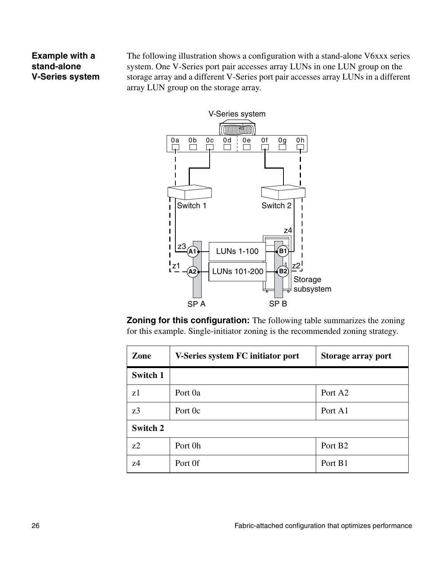#### **Example with a stand-alone V-Series system**

The following illustration shows a configuration with a stand-alone V6xxx series system. One V-Series port pair accesses array LUNs in one LUN group on the storage array and a different V-Series port pair accesses array LUNs in a different array LUN group on the storage array.



**Zoning for this configuration:** The following table summarizes the zoning for this example. Single-initiator zoning is the recommended zoning strategy.

| Zone           | V-Series system FC initiator port<br>Storage array port |                     |
|----------------|---------------------------------------------------------|---------------------|
| Switch 1       |                                                         |                     |
| z1             | Port 0a                                                 | Port A <sub>2</sub> |
| z3             | Port A1<br>Port 0c                                      |                     |
| Switch 2       |                                                         |                     |
| z <sub>2</sub> | Port 0h                                                 | Port B <sub>2</sub> |
| 74             | Port Of                                                 | Port B1             |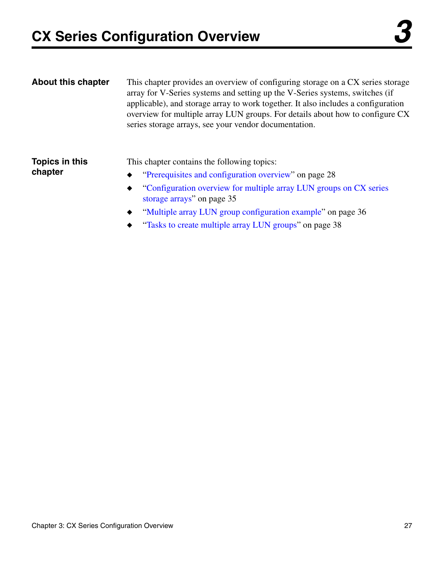<span id="page-34-2"></span><span id="page-34-0"></span>

| <b>About this chapter</b> | This chapter provides an overview of configuring storage on a CX series storage<br>array for V-Series systems and setting up the V-Series systems, switches (if<br>applicable), and storage array to work together. It also includes a configuration<br>overview for multiple array LUN groups. For details about how to configure CX<br>series storage arrays, see your vendor documentation. |
|---------------------------|------------------------------------------------------------------------------------------------------------------------------------------------------------------------------------------------------------------------------------------------------------------------------------------------------------------------------------------------------------------------------------------------|
| Topics in this<br>chapter | This chapter contains the following topics:<br>"Prerequisites and configuration overview" on page 28<br>$\bullet$ "Configuration overview for multiple array LUN groups on CX series                                                                                                                                                                                                           |

- <span id="page-34-1"></span>Configuration overview for multiple array LUN groups on CX series [storage arrays" on page 35](#page-42-0)
- ◆ ["Multiple array LUN group configuration example" on page 36](#page-43-0)
- ["Tasks to create multiple array LUN groups" on page 38](#page-45-0)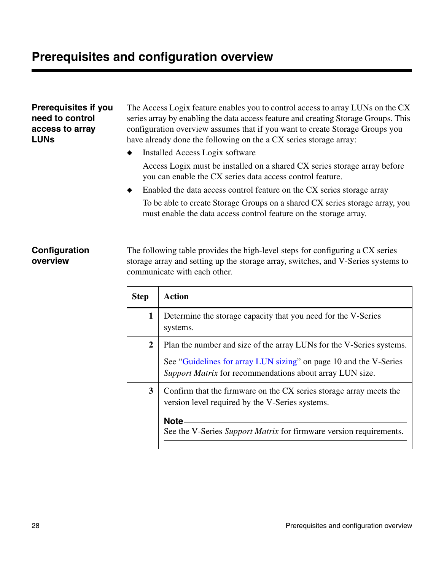<span id="page-35-0"></span>

| <b>Prerequisites if you</b><br>need to control<br>access to array<br><b>LUNs</b> | The Access Logix feature enables you to control access to array LUNs on the CX<br>series array by enabling the data access feature and creating Storage Groups. This<br>configuration overview assumes that if you want to create Storage Groups you<br>have already done the following on the a CX series storage array: |  |  |
|----------------------------------------------------------------------------------|---------------------------------------------------------------------------------------------------------------------------------------------------------------------------------------------------------------------------------------------------------------------------------------------------------------------------|--|--|
|                                                                                  | Installed Access Logix software<br>٠                                                                                                                                                                                                                                                                                      |  |  |
|                                                                                  | Access Logix must be installed on a shared CX series storage array before<br>you can enable the CX series data access control feature.                                                                                                                                                                                    |  |  |
|                                                                                  | Enabled the data access control feature on the CX series storage array<br>٠                                                                                                                                                                                                                                               |  |  |
|                                                                                  | To be able to create Storage Groups on a shared CX series storage array, you<br>must enable the data access control feature on the storage array.                                                                                                                                                                         |  |  |
|                                                                                  |                                                                                                                                                                                                                                                                                                                           |  |  |
| Configuration                                                                    | The following table provides the high level steps for configuring a CV series                                                                                                                                                                                                                                             |  |  |

#### <span id="page-35-1"></span>**Configuration overview**

The following table provides the high-level steps for configuring a CX series storage array and setting up the storage array, switches, and V-Series systems to communicate with each other.

| <b>Step</b>  | Action                                                                                                                                                                                                       |
|--------------|--------------------------------------------------------------------------------------------------------------------------------------------------------------------------------------------------------------|
| 1            | Determine the storage capacity that you need for the V-Series<br>systems.                                                                                                                                    |
| $\mathbf{2}$ | Plan the number and size of the array LUNs for the V-Series systems.<br>See "Guidelines for array LUN sizing" on page 10 and the V-Series<br><i>Support Matrix</i> for recommendations about array LUN size. |
| 3            | Confirm that the firmware on the CX series storage array meets the<br>version level required by the V-Series systems.<br>Note<br>See the V-Series Support Matrix for firmware version requirements.          |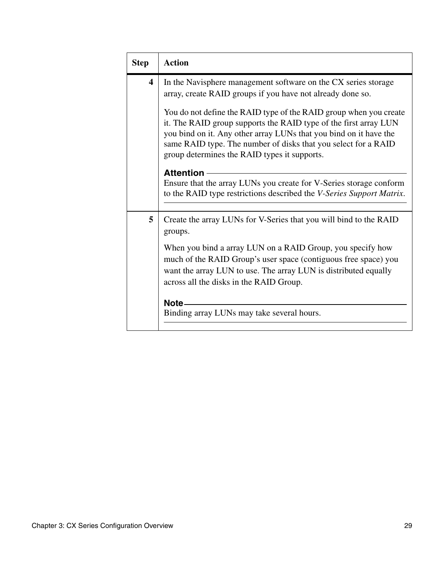| <b>Step</b> | <b>Action</b>                                                                                                                                                                                                                                                                                                                |  |  |  |
|-------------|------------------------------------------------------------------------------------------------------------------------------------------------------------------------------------------------------------------------------------------------------------------------------------------------------------------------------|--|--|--|
| 4           | In the Navisphere management software on the CX series storage<br>array, create RAID groups if you have not already done so.                                                                                                                                                                                                 |  |  |  |
|             | You do not define the RAID type of the RAID group when you create<br>it. The RAID group supports the RAID type of the first array LUN<br>you bind on it. Any other array LUNs that you bind on it have the<br>same RAID type. The number of disks that you select for a RAID<br>group determines the RAID types it supports. |  |  |  |
|             | <b>Attention</b><br>Ensure that the array LUNs you create for V-Series storage conform<br>to the RAID type restrictions described the <i>V-Series Support Matrix</i> .                                                                                                                                                       |  |  |  |
| 5           | Create the array LUNs for V-Series that you will bind to the RAID<br>groups.                                                                                                                                                                                                                                                 |  |  |  |
|             | When you bind a array LUN on a RAID Group, you specify how<br>much of the RAID Group's user space (contiguous free space) you<br>want the array LUN to use. The array LUN is distributed equally<br>across all the disks in the RAID Group.                                                                                  |  |  |  |
|             | Note -                                                                                                                                                                                                                                                                                                                       |  |  |  |
|             | Binding array LUNs may take several hours.                                                                                                                                                                                                                                                                                   |  |  |  |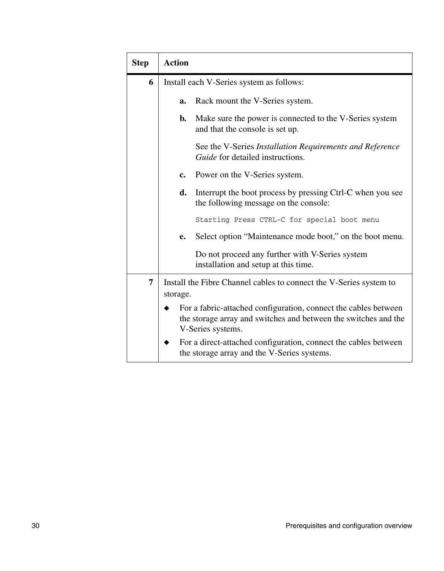| <b>Step</b> | <b>Action</b>                                                                                                                                           |                                                                                                                |  |  |
|-------------|---------------------------------------------------------------------------------------------------------------------------------------------------------|----------------------------------------------------------------------------------------------------------------|--|--|
| 6           | Install each V-Series system as follows:                                                                                                                |                                                                                                                |  |  |
|             | a.                                                                                                                                                      | Rack mount the V-Series system.                                                                                |  |  |
|             | b.                                                                                                                                                      | Make sure the power is connected to the V-Series system<br>and that the console is set up.                     |  |  |
|             |                                                                                                                                                         | See the V-Series Installation Requirements and Reference<br><i>Guide</i> for detailed instructions.            |  |  |
|             | c.                                                                                                                                                      | Power on the V-Series system.                                                                                  |  |  |
|             | d.                                                                                                                                                      | Interrupt the boot process by pressing Ctrl-C when you see<br>the following message on the console:            |  |  |
|             |                                                                                                                                                         | Starting Press CTRL-C for special boot menu                                                                    |  |  |
|             | е.                                                                                                                                                      | Select option "Maintenance mode boot," on the boot menu.                                                       |  |  |
|             |                                                                                                                                                         | Do not proceed any further with V-Series system<br>installation and setup at this time.                        |  |  |
| 7           | Install the Fibre Channel cables to connect the V-Series system to<br>storage.                                                                          |                                                                                                                |  |  |
|             | For a fabric-attached configuration, connect the cables between<br>the storage array and switches and between the switches and the<br>V-Series systems. |                                                                                                                |  |  |
|             |                                                                                                                                                         | For a direct-attached configuration, connect the cables between<br>the storage array and the V-Series systems. |  |  |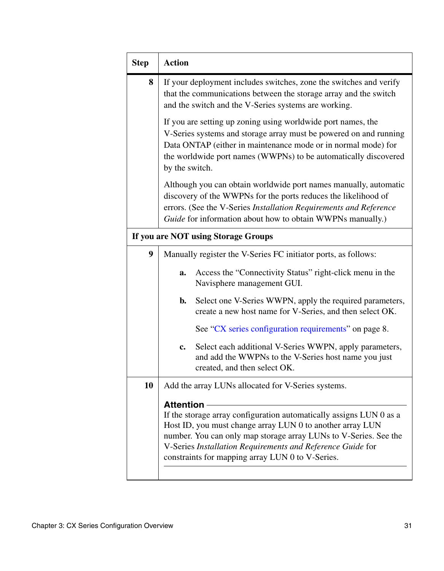| <b>Step</b> | <b>Action</b>                                                                                                                                                                                                                                                                                                                              |  |  |  |
|-------------|--------------------------------------------------------------------------------------------------------------------------------------------------------------------------------------------------------------------------------------------------------------------------------------------------------------------------------------------|--|--|--|
| 8           | If your deployment includes switches, zone the switches and verify<br>that the communications between the storage array and the switch<br>and the switch and the V-Series systems are working.                                                                                                                                             |  |  |  |
|             | If you are setting up zoning using worldwide port names, the<br>V-Series systems and storage array must be powered on and running<br>Data ONTAP (either in maintenance mode or in normal mode) for<br>the worldwide port names (WWPNs) to be automatically discovered<br>by the switch.                                                    |  |  |  |
|             | Although you can obtain worldwide port names manually, automatic<br>discovery of the WWPNs for the ports reduces the likelihood of<br>errors. (See the V-Series Installation Requirements and Reference<br>Guide for information about how to obtain WWPNs manually.)                                                                      |  |  |  |
|             | If you are NOT using Storage Groups                                                                                                                                                                                                                                                                                                        |  |  |  |
| 9           | Manually register the V-Series FC initiator ports, as follows:                                                                                                                                                                                                                                                                             |  |  |  |
|             | Access the "Connectivity Status" right-click menu in the<br>a.<br>Navisphere management GUI.                                                                                                                                                                                                                                               |  |  |  |
|             | Select one V-Series WWPN, apply the required parameters,<br>b.<br>create a new host name for V-Series, and then select OK.                                                                                                                                                                                                                 |  |  |  |
|             | See "CX series configuration requirements" on page 8.                                                                                                                                                                                                                                                                                      |  |  |  |
|             | Select each additional V-Series WWPN, apply parameters,<br>c.<br>and add the WWPNs to the V-Series host name you just<br>created, and then select OK.                                                                                                                                                                                      |  |  |  |
| 10          | Add the array LUNs allocated for V-Series systems.                                                                                                                                                                                                                                                                                         |  |  |  |
|             | <b>Attention</b><br>If the storage array configuration automatically assigns LUN 0 as a<br>Host ID, you must change array LUN 0 to another array LUN<br>number. You can only map storage array LUNs to V-Series. See the<br>V-Series Installation Requirements and Reference Guide for<br>constraints for mapping array LUN 0 to V-Series. |  |  |  |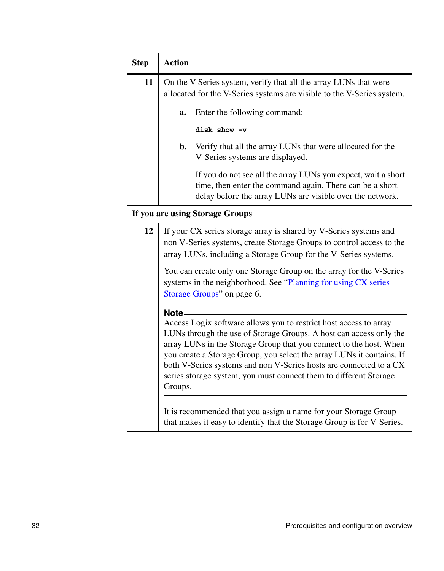| <b>Step</b> | <b>Action</b>                                                                                                                                                                                                                                                                                                                                                                                                                                          |  |  |  |
|-------------|--------------------------------------------------------------------------------------------------------------------------------------------------------------------------------------------------------------------------------------------------------------------------------------------------------------------------------------------------------------------------------------------------------------------------------------------------------|--|--|--|
| 11          | On the V-Series system, verify that all the array LUNs that were<br>allocated for the V-Series systems are visible to the V-Series system.                                                                                                                                                                                                                                                                                                             |  |  |  |
|             | Enter the following command:<br>a.                                                                                                                                                                                                                                                                                                                                                                                                                     |  |  |  |
|             | disk show -v                                                                                                                                                                                                                                                                                                                                                                                                                                           |  |  |  |
|             | Verify that all the array LUNs that were allocated for the<br>$\mathbf{b}$ .<br>V-Series systems are displayed.                                                                                                                                                                                                                                                                                                                                        |  |  |  |
|             | If you do not see all the array LUNs you expect, wait a short<br>time, then enter the command again. There can be a short<br>delay before the array LUNs are visible over the network.                                                                                                                                                                                                                                                                 |  |  |  |
|             | If you are using Storage Groups                                                                                                                                                                                                                                                                                                                                                                                                                        |  |  |  |
| 12          | If your CX series storage array is shared by V-Series systems and<br>non V-Series systems, create Storage Groups to control access to the<br>array LUNs, including a Storage Group for the V-Series systems.                                                                                                                                                                                                                                           |  |  |  |
|             | You can create only one Storage Group on the array for the V-Series<br>systems in the neighborhood. See "Planning for using CX series<br>Storage Groups" on page 6.                                                                                                                                                                                                                                                                                    |  |  |  |
|             | Note -<br>Access Logix software allows you to restrict host access to array<br>LUNs through the use of Storage Groups. A host can access only the<br>array LUNs in the Storage Group that you connect to the host. When<br>you create a Storage Group, you select the array LUNs it contains. If<br>both V-Series systems and non V-Series hosts are connected to a CX<br>series storage system, you must connect them to different Storage<br>Groups. |  |  |  |
|             | It is recommended that you assign a name for your Storage Group<br>that makes it easy to identify that the Storage Group is for V-Series.                                                                                                                                                                                                                                                                                                              |  |  |  |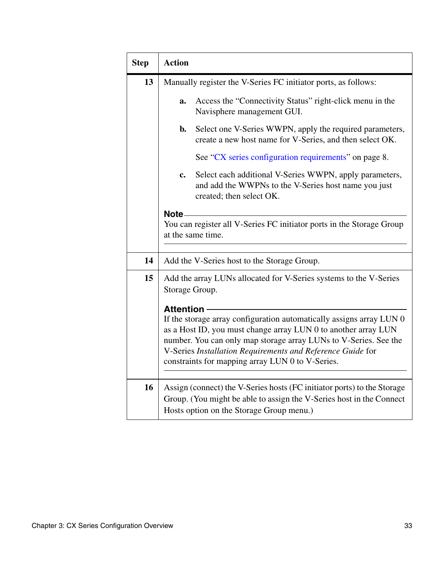| <b>Step</b> | <b>Action</b>                                                                                                                                     |  |  |  |
|-------------|---------------------------------------------------------------------------------------------------------------------------------------------------|--|--|--|
| 13          | Manually register the V-Series FC initiator ports, as follows:                                                                                    |  |  |  |
|             | Access the "Connectivity Status" right-click menu in the<br>a.<br>Navisphere management GUI.                                                      |  |  |  |
|             | Select one V-Series WWPN, apply the required parameters,<br>b.<br>create a new host name for V-Series, and then select OK.                        |  |  |  |
|             | See "CX series configuration requirements" on page 8.                                                                                             |  |  |  |
|             | Select each additional V-Series WWPN, apply parameters,<br>c.<br>and add the WWPNs to the V-Series host name you just<br>created; then select OK. |  |  |  |
|             | Note-                                                                                                                                             |  |  |  |
|             | You can register all V-Series FC initiator ports in the Storage Group                                                                             |  |  |  |
|             | at the same time.                                                                                                                                 |  |  |  |
|             |                                                                                                                                                   |  |  |  |
| 14          | Add the V-Series host to the Storage Group.                                                                                                       |  |  |  |
| 15          | Add the array LUNs allocated for V-Series systems to the V-Series                                                                                 |  |  |  |
|             | Storage Group.                                                                                                                                    |  |  |  |
|             | <b>Attention</b>                                                                                                                                  |  |  |  |
|             | If the storage array configuration automatically assigns array LUN 0                                                                              |  |  |  |
|             | as a Host ID, you must change array LUN 0 to another array LUN                                                                                    |  |  |  |
|             | number. You can only map storage array LUNs to V-Series. See the                                                                                  |  |  |  |
|             | V-Series Installation Requirements and Reference Guide for<br>constraints for mapping array LUN 0 to V-Series.                                    |  |  |  |
|             |                                                                                                                                                   |  |  |  |
| 16          | Assign (connect) the V-Series hosts (FC initiator ports) to the Storage                                                                           |  |  |  |
|             | Group. (You might be able to assign the V-Series host in the Connect                                                                              |  |  |  |
|             | Hosts option on the Storage Group menu.)                                                                                                          |  |  |  |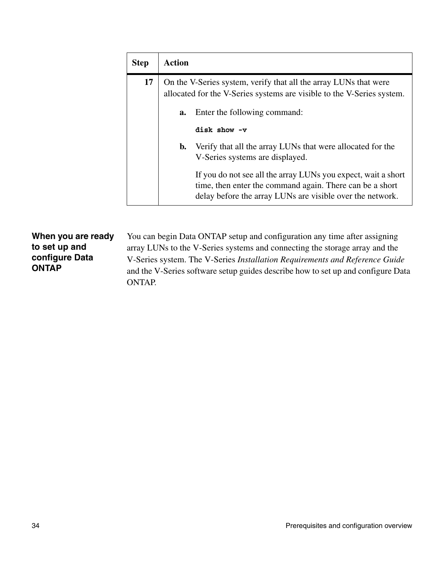| <b>Step</b> | Action                                                                                                                                     |                                                                                                                                                                                        |  |  |  |
|-------------|--------------------------------------------------------------------------------------------------------------------------------------------|----------------------------------------------------------------------------------------------------------------------------------------------------------------------------------------|--|--|--|
| 17          | On the V-Series system, verify that all the array LUNs that were<br>allocated for the V-Series systems are visible to the V-Series system. |                                                                                                                                                                                        |  |  |  |
|             | Enter the following command:<br>a.                                                                                                         |                                                                                                                                                                                        |  |  |  |
|             |                                                                                                                                            | disk show -v                                                                                                                                                                           |  |  |  |
|             | b.                                                                                                                                         | Verify that all the array LUNs that were allocated for the<br>V-Series systems are displayed.                                                                                          |  |  |  |
|             |                                                                                                                                            | If you do not see all the array LUNs you expect, wait a short<br>time, then enter the command again. There can be a short<br>delay before the array LUNs are visible over the network. |  |  |  |

**When you are ready to set up and configure Data ONTAP** You can begin Data ONTAP setup and configuration any time after assigning array LUNs to the V-Series systems and connecting the storage array and the V-Series system. The V-Series *Installation Requirements and Reference Guide* and the V-Series software setup guides describe how to set up and configure Data ONTAP.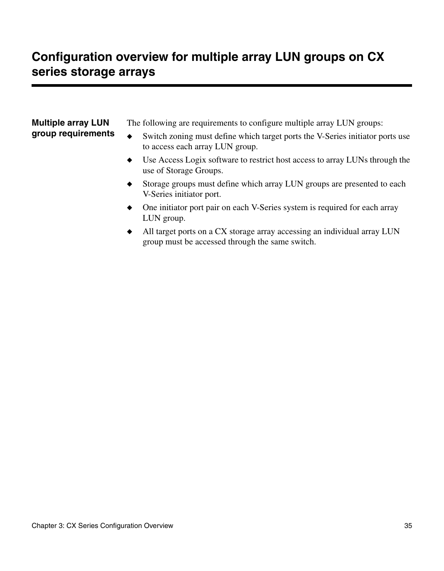# <span id="page-42-0"></span>**Configuration overview for multiple array LUN groups on CX series storage arrays**

<span id="page-42-1"></span>

| <b>Multiple array LUN</b><br>group requirements | ٠         | The following are requirements to configure multiple array LUN groups:<br>Switch zoning must define which target ports the V-Series initiator ports use<br>to access each array LUN group. |
|-------------------------------------------------|-----------|--------------------------------------------------------------------------------------------------------------------------------------------------------------------------------------------|
|                                                 | $\bullet$ | Use Access Logix software to restrict host access to array LUNs through the<br>use of Storage Groups.                                                                                      |
|                                                 | ٠         | Storage groups must define which array LUN groups are presented to each<br>V-Series initiator port.                                                                                        |
|                                                 |           | One initiator port pair on each V-Series system is required for each array                                                                                                                 |

LUN group. ◆ All target ports on a CX storage array accessing an individual array LUN group must be accessed through the same switch.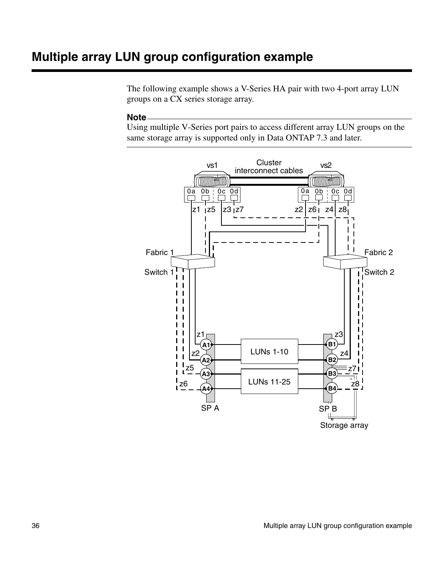# <span id="page-43-1"></span><span id="page-43-0"></span>**Multiple array LUN group configuration example**

The following example shows a V-Series HA pair with two 4-port array LUN groups on a CX series storage array.

#### **Note**

Using multiple V-Series port pairs to access different array LUN groups on the same storage array is supported only in Data ONTAP 7.3 and later.

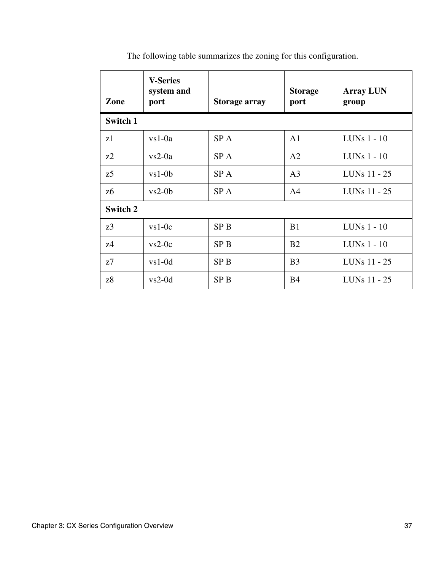| Zone     | <b>V-Series</b><br>system and<br>port | <b>Storage array</b> | <b>Storage</b><br>port | <b>Array LUN</b><br>group |
|----------|---------------------------------------|----------------------|------------------------|---------------------------|
| Switch 1 |                                       |                      |                        |                           |
| z1       | $vs1-0a$                              | SP A                 | A <sub>1</sub>         | LUNs $1 - 10$             |
| z2       | $vs2-0a$                              | SP A                 | A <sub>2</sub>         | LUNs $1 - 10$             |
| z5       | $vs1-0b$                              | SP A                 | A <sub>3</sub>         | LUNs 11 - 25              |
| z6       | $vs2-0b$                              | SP A                 | A <sub>4</sub>         | LUNs 11 - 25              |
| Switch 2 |                                       |                      |                        |                           |
| z3       | $vs1-0c$                              | SP <sub>B</sub>      | B1                     | LUNs $1 - 10$             |
| z4       | $vs2-0c$                              | SP <sub>B</sub>      | B <sub>2</sub>         | LUNs $1 - 10$             |
| z7       | $vs1-0d$                              | SP <sub>B</sub>      | B <sub>3</sub>         | LUNs 11 - 25              |
| z8       | $vs2-0d$                              | SP <sub>B</sub>      | B <sub>4</sub>         | LUNs 11 - 25              |

The following table summarizes the zoning for this configuration.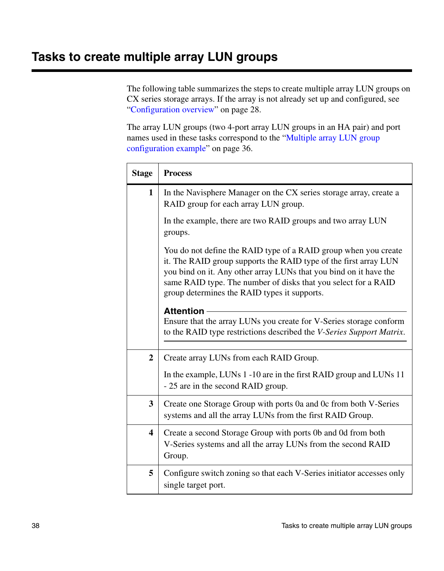<span id="page-45-1"></span><span id="page-45-0"></span>The following table summarizes the steps to create multiple array LUN groups on CX series storage arrays. If the array is not already set up and configured, see ["Configuration overview" on page 28](#page-35-1).

The array LUN groups (two 4-port array LUN groups in an HA pair) and port names used in these tasks correspond to the ["Multiple array LUN group](#page-43-0)  [configuration example" on page 36.](#page-43-0)

| <b>Stage</b>   | <b>Process</b>                                                                                                                                                                                                                                                                                                             |
|----------------|----------------------------------------------------------------------------------------------------------------------------------------------------------------------------------------------------------------------------------------------------------------------------------------------------------------------------|
| 1              | In the Navisphere Manager on the CX series storage array, create a<br>RAID group for each array LUN group.                                                                                                                                                                                                                 |
|                | In the example, there are two RAID groups and two array LUN<br>groups.                                                                                                                                                                                                                                                     |
|                | You do not define the RAID type of a RAID group when you create<br>it. The RAID group supports the RAID type of the first array LUN<br>you bind on it. Any other array LUNs that you bind on it have the<br>same RAID type. The number of disks that you select for a RAID<br>group determines the RAID types it supports. |
|                | <b>Attention</b><br>Ensure that the array LUNs you create for V-Series storage conform<br>to the RAID type restrictions described the V-Series Support Matrix.                                                                                                                                                             |
| $\overline{2}$ | Create array LUNs from each RAID Group.                                                                                                                                                                                                                                                                                    |
|                | In the example, LUNs 1 -10 are in the first RAID group and LUNs 11<br>- 25 are in the second RAID group.                                                                                                                                                                                                                   |
| 3              | Create one Storage Group with ports 0a and 0c from both V-Series<br>systems and all the array LUNs from the first RAID Group.                                                                                                                                                                                              |
| 4              | Create a second Storage Group with ports 0b and 0d from both<br>V-Series systems and all the array LUNs from the second RAID<br>Group.                                                                                                                                                                                     |
| 5              | Configure switch zoning so that each V-Series initiator accesses only<br>single target port.                                                                                                                                                                                                                               |